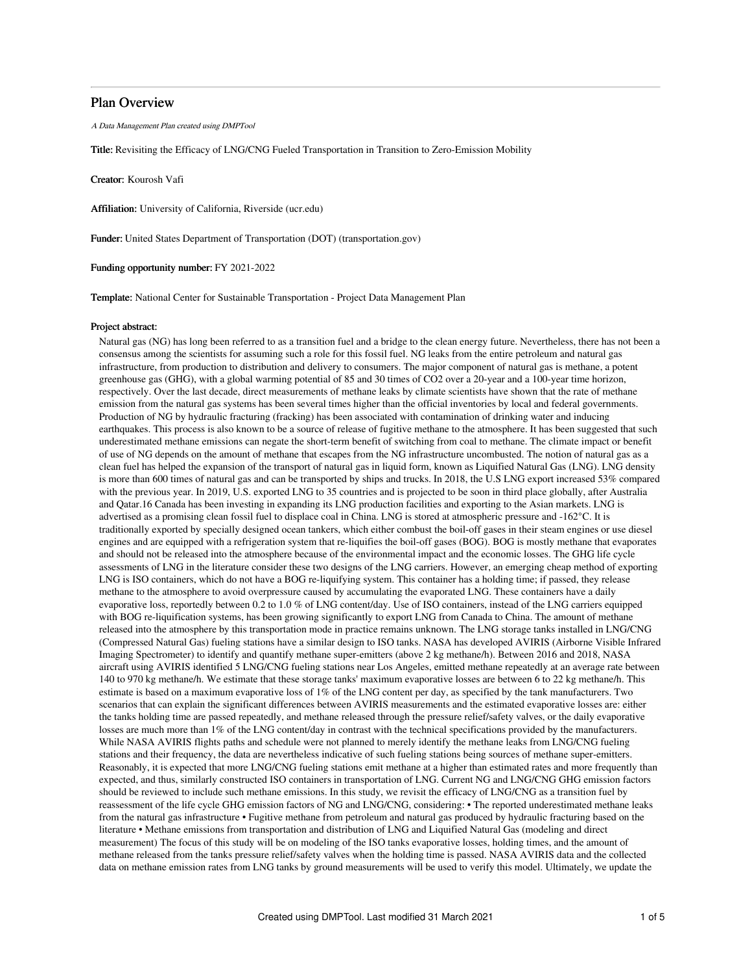# Plan Overview

A Data Management Plan created using DMPTool

Title: Revisiting the Efficacy of LNG/CNG Fueled Transportation in Transition to Zero-Emission Mobility

Creator: Kourosh Vafi

Affiliation: University of California, Riverside (ucr.edu)

Funder: United States Department of Transportation (DOT) (transportation.gov)

Funding opportunity number: FY 2021-2022

Template: National Center for Sustainable Transportation - Project Data Management Plan

### Project abstract:

Natural gas (NG) has long been referred to as a transition fuel and a bridge to the clean energy future. Nevertheless, there has not been a consensus among the scientists for assuming such a role for this fossil fuel. NG leaks from the entire petroleum and natural gas infrastructure, from production to distribution and delivery to consumers. The major component of natural gas is methane, a potent greenhouse gas (GHG), with a global warming potential of 85 and 30 times of CO2 over a 20-year and a 100-year time horizon, respectively. Over the last decade, direct measurements of methane leaks by climate scientists have shown that the rate of methane emission from the natural gas systems has been several times higher than the official inventories by local and federal governments. Production of NG by hydraulic fracturing (fracking) has been associated with contamination of drinking water and inducing earthquakes. This process is also known to be a source of release of fugitive methane to the atmosphere. It has been suggested that such underestimated methane emissions can negate the short-term benefit of switching from coal to methane. The climate impact or benefit of use of NG depends on the amount of methane that escapes from the NG infrastructure uncombusted. The notion of natural gas as a clean fuel has helped the expansion of the transport of natural gas in liquid form, known as Liquified Natural Gas (LNG). LNG density is more than 600 times of natural gas and can be transported by ships and trucks. In 2018, the U.S LNG export increased 53% compared with the previous year. In 2019, U.S. exported LNG to 35 countries and is projected to be soon in third place globally, after Australia and Qatar.16 Canada has been investing in expanding its LNG production facilities and exporting to the Asian markets. LNG is advertised as a promising clean fossil fuel to displace coal in China. LNG is stored at atmospheric pressure and -162°C. It is traditionally exported by specially designed ocean tankers, which either combust the boil-off gases in their steam engines or use diesel engines and are equipped with a refrigeration system that re-liquifies the boil-off gases (BOG). BOG is mostly methane that evaporates and should not be released into the atmosphere because of the environmental impact and the economic losses. The GHG life cycle assessments of LNG in the literature consider these two designs of the LNG carriers. However, an emerging cheap method of exporting LNG is ISO containers, which do not have a BOG re-liquifying system. This container has a holding time; if passed, they release methane to the atmosphere to avoid overpressure caused by accumulating the evaporated LNG. These containers have a daily evaporative loss, reportedly between 0.2 to 1.0 % of LNG content/day. Use of ISO containers, instead of the LNG carriers equipped with BOG re-liquification systems, has been growing significantly to export LNG from Canada to China. The amount of methane released into the atmosphere by this transportation mode in practice remains unknown. The LNG storage tanks installed in LNG/CNG (Compressed Natural Gas) fueling stations have a similar design to ISO tanks. NASA has developed AVIRIS (Airborne Visible Infrared Imaging Spectrometer) to identify and quantify methane super-emitters (above 2 kg methane/h). Between 2016 and 2018, NASA aircraft using AVIRIS identified 5 LNG/CNG fueling stations near Los Angeles, emitted methane repeatedly at an average rate between 140 to 970 kg methane/h. We estimate that these storage tanks' maximum evaporative losses are between 6 to 22 kg methane/h. This estimate is based on a maximum evaporative loss of 1% of the LNG content per day, as specified by the tank manufacturers. Two scenarios that can explain the significant differences between AVIRIS measurements and the estimated evaporative losses are: either the tanks holding time are passed repeatedly, and methane released through the pressure relief/safety valves, or the daily evaporative losses are much more than 1% of the LNG content/day in contrast with the technical specifications provided by the manufacturers. While NASA AVIRIS flights paths and schedule were not planned to merely identify the methane leaks from LNG/CNG fueling stations and their frequency, the data are nevertheless indicative of such fueling stations being sources of methane super-emitters. Reasonably, it is expected that more LNG/CNG fueling stations emit methane at a higher than estimated rates and more frequently than expected, and thus, similarly constructed ISO containers in transportation of LNG. Current NG and LNG/CNG GHG emission factors should be reviewed to include such methane emissions. In this study, we revisit the efficacy of LNG/CNG as a transition fuel by reassessment of the life cycle GHG emission factors of NG and LNG/CNG, considering: • The reported underestimated methane leaks from the natural gas infrastructure • Fugitive methane from petroleum and natural gas produced by hydraulic fracturing based on the literature • Methane emissions from transportation and distribution of LNG and Liquified Natural Gas (modeling and direct measurement) The focus of this study will be on modeling of the ISO tanks evaporative losses, holding times, and the amount of methane released from the tanks pressure relief/safety valves when the holding time is passed. NASA AVIRIS data and the collected data on methane emission rates from LNG tanks by ground measurements will be used to verify this model. Ultimately, we update the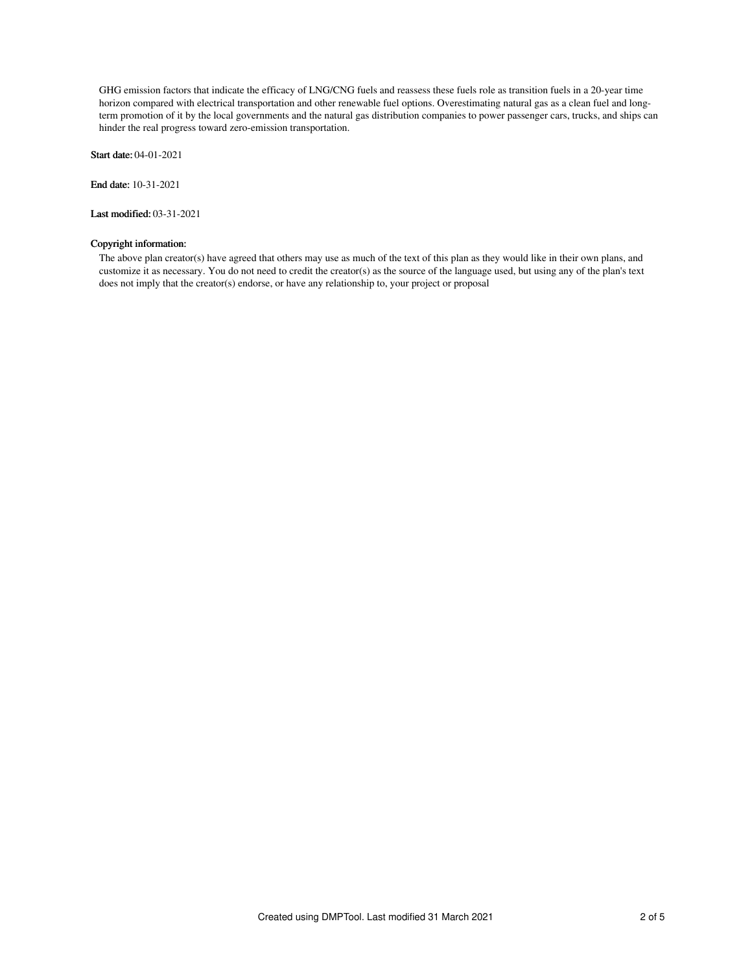GHG emission factors that indicate the efficacy of LNG/CNG fuels and reassess these fuels role as transition fuels in a 20-year time horizon compared with electrical transportation and other renewable fuel options. Overestimating natural gas as a clean fuel and longterm promotion of it by the local governments and the natural gas distribution companies to power passenger cars, trucks, and ships can hinder the real progress toward zero-emission transportation.

Start date: 04-01-2021

End date: 10-31-2021

Last modified: 03-31-2021

# Copyright information:

The above plan creator(s) have agreed that others may use as much of the text of this plan as they would like in their own plans, and customize it as necessary. You do not need to credit the creator(s) as the source of the language used, but using any of the plan's text does not imply that the creator(s) endorse, or have any relationship to, your project or proposal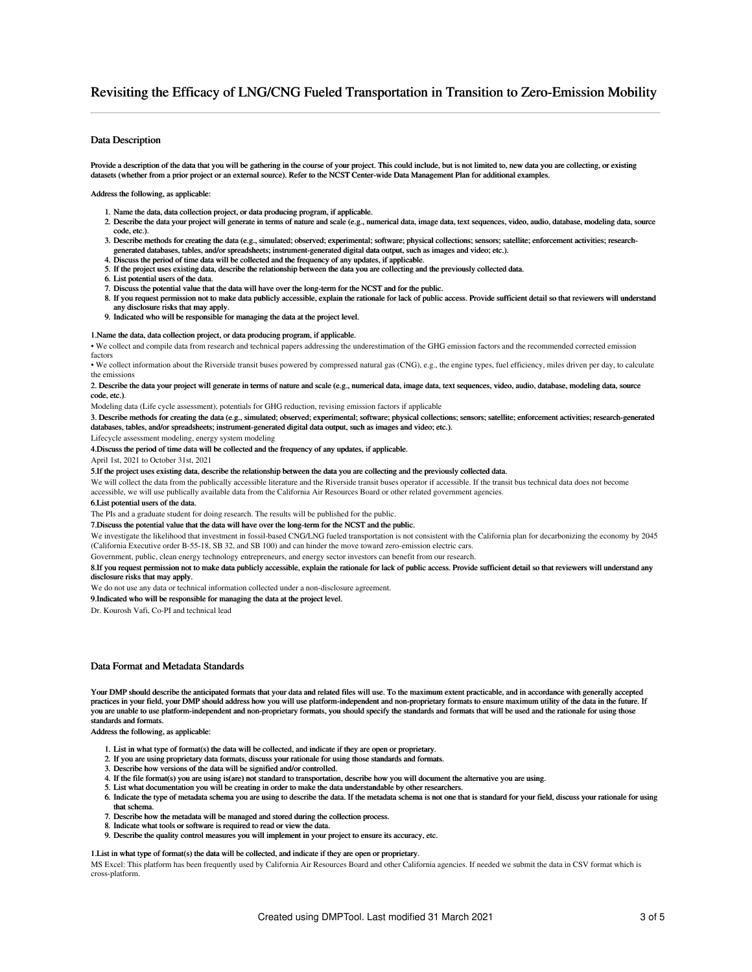# Revisiting the Efficacy of LNG/CNG Fueled Transportation in Transition to Zero-Emission Mobility

# Data Description

Provide a description of the data that you will be gathering in the course of your project. This could include, but is not limited to, new data you are collecting, or existing datasets (whether from a prior project or an external source). Refer to the NCST Center-wide Data Management Plan for additional examples.

Address the following, as applicable:

- 1. Name the data, data collection project, or data producing program, if applicable.
- 2. Describe the data your project will generate in terms of nature and scale (e.g., numerical data, image data, text sequences, video, audio, database, modeling data, source code, etc.).
- 3. Describe methods for creating the data (e.g., simulated; observed; experimental; software; physical collections; sensors; satellite; enforcement activities; researchgenerated databases, tables, and/or spreadsheets; instrument-generated digital data output, such as images and video; etc.).
- 4. Discuss the period of time data will be collected and the frequency of any updates, if applicable.
- 5. If the project uses existing data, describe the relationship between the data you are collecting and the previously collected data.
- 6. List potential users of the data.
- 7. Discuss the potential value that the data will have over the long-term for the NCST and for the public.
- 8. If you request permission not to make data publicly accessible, explain the rationale for lack of public access. Provide sufficient detail so that reviewers will understand any disclosure risks that may apply.
- 9. Indicated who will be responsible for managing the data at the project level.

#### 1.Name the data, data collection project, or data producing program, if applicable.

• We collect and compile data from research and technical papers addressing the underestimation of the GHG emission factors and the recommended corrected emission factors

• We collect information about the Riverside transit buses powered by compressed natural gas (CNG), e.g., the engine types, fuel efficiency, miles driven per day, to calculate the emission

#### 2. Describe the data your project will generate in terms of nature and scale (e.g., numerical data, image data, text sequences, video, audio, database, modeling data, source code, etc.)

Modeling data (Life cycle assessment), potentials for GHG reduction, revising emission factors if applicable

3. Describe methods for creating the data (e.g., simulated; observed; experimental; software; physical collections; sensors; satellite; enforcement activities; research-generated databases, tables, and/or spreadsheets; instrument-generated digital data output, such as images and video; etc.).

Lifecycle assessment modeling, energy system modeling

4.Discuss the period of time data will be collected and the frequency of any updates, if applicable.

April 1st, 2021 to October 31st, 2021

5.If the project uses existing data, describe the relationship between the data you are collecting and the previously collected data.

We will collect the data from the publically accessible literature and the Riverside transit buses operator if accessible. If the transit bus technical data does not become accessible, we will use publically available data from the California Air Resources Board or other related government agencies.

#### 6.List potential users of the data.

The PIs and a graduate student for doing research. The results will be published for the public.

### 7.Discuss the potential value that the data will have over the long-term for the NCST and the public.

We investigate the likelihood that investment in fossil-based CNG/LNG fueled transportation is not consistent with the California plan for decarbonizing the economy by 2045 (California Executive order B-55-18, SB 32, and SB 100) and can hinder the move toward zero-emission electric cars.

Government, public, clean energy technology entrepreneurs, and energy sector investors can benefit from our research.

8.If you request permission not to make data publicly accessible, explain the rationale for lack of public access. Provide sufficient detail so that reviewers will understand any disclosure risks that may apply.

We do not use any data or technical information collected under a non-disclosure agreement.

9.Indicated who will be responsible for managing the data at the project level.

Dr. Kourosh Vafi, Co-PI and technical lead

## Data Format and Metadata Standards

Your DMP should describe the anticipated formats that your data and related files will use. To the maximum extent practicable, and in accordance with generally accepted practices in your field, your DMP should address how you will use platform-independent and non-proprietary formats to ensure maximum utility of the data in the future. If you are unable to use platform-independent and non-proprietary formats, you should specify the standards and formats that will be used and the rationale for using those standards and formats.

Address the following, as applicable:

- 1. List in what type of format(s) the data will be collected, and indicate if they are open or proprietary.
- 2. If you are using proprietary data formats, discuss your rationale for using those standards and formats.
- 3. Describe how versions of the data will be signified and/or controlled.
- 4. If the file format(s) you are using is(are) not standard to transportation, describe how you will document the alternative you are using.
- 5. List what documentation you will be creating in order to make the data understandable by other researchers.
- 6. Indicate the type of metadata schema you are using to describe the data. If the metadata schema is not one that is standard for your field, discuss your rationale for using that schema.
- 7. Describe how the metadata will be managed and stored during the collection process.
- 8. Indicate what tools or software is required to read or view the data.
- 9. Describe the quality control measures you will implement in your project to ensure its accuracy, etc.

## 1.List in what type of format(s) the data will be collected, and indicate if they are open or proprietary.

MS Excel: This platform has been frequently used by California Air Resources Board and other California agencies. If needed we submit the data in CSV format which is cross-platform.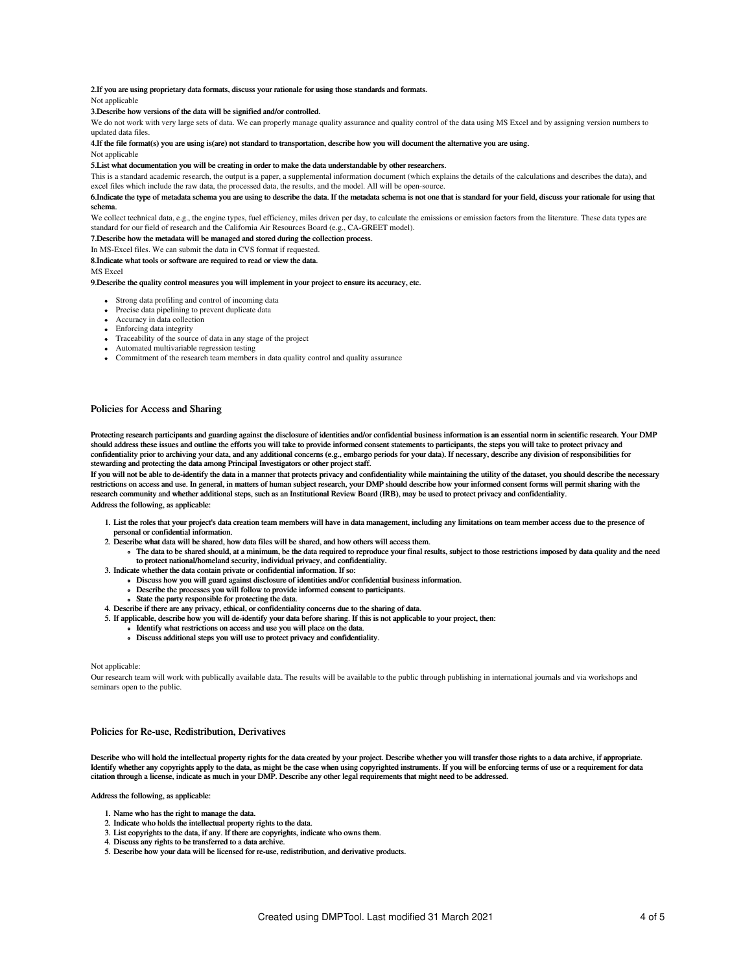# 2.If you are using proprietary data formats, discuss your rationale for using those standards and formats.

Not applicable

#### 3.Describe how versions of the data will be signified and/or controlled.

We do not work with very large sets of data. We can properly manage quality assurance and quality control of the data using MS Excel and by assigning version numbers to updated data files.

4.If the file format(s) you are using is(are) not standard to transportation, describe how you will document the alternative you are using.

#### Not applicable

#### 5.List what documentation you will be creating in order to make the data understandable by other researchers.

This is a standard academic research, the output is a paper, a supplemental information document (which explains the details of the calculations and describes the data), and excel files which include the raw data, the processed data, the results, and the model. All will be open-source.

# 6.Indicate the type of metadata schema you are using to describe the data. If the metadata schema is not one that is standard for your field, discuss your rationale for using that

# schema.

We collect technical data, e.g., the engine types, fuel efficiency, miles driven per day, to calculate the emissions or emission factors from the literature. These data types are standard for our field of research and the California Air Resources Board (e.g., CA-GREET model).

#### 7.Describe how the metadata will be managed and stored during the collection process.

In MS-Excel files. We can submit the data in CVS format if requested.

#### 8.Indicate what tools or software are required to read or view the data.

MS Excel

## 9.Describe the quality control measures you will implement in your project to ensure its accuracy, etc.

- Strong data profiling and control of incoming data
- Precise data pipelining to prevent duplicate data
- Accuracy in data collection
- Enforcing data integrity
- Traceability of the source of data in any stage of the project
- Automated multivariable regression testing
- Commitment of the research team members in data quality control and quality assurance

## Policies for Access and Sharing

Protecting research participants and guarding against the disclosure of identities and/or confidential business information is an essential norm in scientific research. Your DMP should address these issues and outline the efforts you will take to provide informed consent statements to participants, the steps you will take to protect privacy and confidentiality prior to archiving your data, and any additional concerns (e.g., embargo periods for your data). If necessary, describe any division of responsibilities for stewarding and protecting the data among Principal Investigators or other project staff.

If you will not be able to de-identify the data in a manner that protects privacy and confidentiality while maintaining the utility of the dataset, you should describe the necessary restrictions on access and use. In general, in matters of human subject research, your DMP should describe how your informed consent forms will permit sharing with the research community and whether additional steps, such as an Institutional Review Board (IRB), may be used to protect privacy and confidentiality. Address the following, as applicable:

- 1. List the roles that your project's data creation team members will have in data management, including any limitations on team member access due to the presence of personal or confidential information.
- 2. Describe what data will be shared, how data files will be shared, and how others will access them.
	- The data to be shared should, at a minimum, be the data required to reproduce your final results, subject to those restrictions imposed by data quality and the need to protect national/homeland security, individual privacy, and confidentiality.
- 3. Indicate whether the data contain private or confidential information. If so:
	- Discuss how you will guard against disclosure of identities and/or confidential business information.
		- Describe the processes you will follow to provide informed consent to participants.
	- State the party responsible for protecting the data.
- 4. Describe if there are any privacy, ethical, or confidentiality concerns due to the sharing of data.
- 5. If applicable, describe how you will de-identify your data before sharing. If this is not applicable to your project, then:
	- Identify what restrictions on access and use you will place on the data.
	- Discuss additional steps you will use to protect privacy and confidentiality.

#### Not applicable:

Our research team will work with publically available data. The results will be available to the public through publishing in international journals and via workshops and seminars open to the public.

#### Policies for Re-use, Redistribution, Derivatives

Describe who will hold the intellectual property rights for the data created by your project. Describe whether you will transfer those rights to a data archive, if appropriate. Identify whether any copyrights apply to the data, as might be the case when using copyrighted instruments. If you will be enforcing terms of use or a requirement for data citation through a license, indicate as much in your DMP. Describe any other legal requirements that might need to be addressed.

#### Address the following, as applicable:

- 1. Name who has the right to manage the data.
- 2. Indicate who holds the intellectual property rights to the data.
- 3. List copyrights to the data, if any. If there are copyrights, indicate who owns them.
- 4. Discuss any rights to be transferred to a data archive.
- 5. Describe how your data will be licensed for re-use, redistribution, and derivative products.